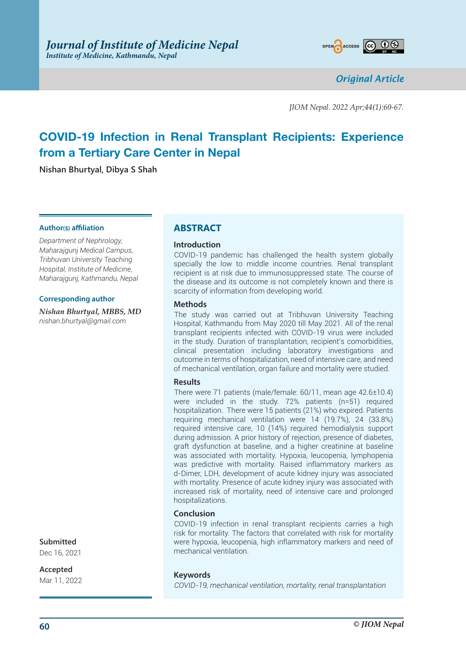

*Original Article*

*JIOM Nepal. 2022 Apr;44(1):60-67.*

# **COVID-19 Infection in Renal Transplant Recipients: Experience from a Tertiary Care Center in Nepal**

**Nishan Bhurtyal, Dibya S Shah**

### **Author(s) affiliation**

*Department of Nephrology, Maharajgunj Medical Campus, Tribhuvan University Teaching Hospital, Institute of Medicine, Maharajgunj, Kathmandu, Nepal*

#### **Corresponding author**

*Nishan Bhurtyal, MBBS, MD nishan.bhurtyal@gmail.com*

**Submitted**

Dec 16, 2021

**Accepted**

Mar 11, 2022

# **ABSTRACT**

## **Introduction**

COVID-19 pandemic has challenged the health system globally specially the low to middle income countries. Renal transplant recipient is at risk due to immunosuppressed state. The course of the disease and its outcome is not completely known and there is scarcity of information from developing world.

## **Methods**

The study was carried out at Tribhuvan University Teaching Hospital, Kathmandu from May 2020 till May 2021. All of the renal transplant recipients infected with COVID-19 virus were included in the study. Duration of transplantation, recipient's comorbidities, clinical presentation including laboratory investigations and outcome in terms of hospitalization, need of intensive care, and need of mechanical ventilation, organ failure and mortality were studied.

### **Results**

There were 71 patients (male/female: 60/11, mean age 42.6±10.4) were included in the study. 72% patients (n=51) required hospitalization. There were 15 patients (21%) who expired. Patients requiring mechanical ventilation were 14 (19.7%), 24 (33.8%) required intensive care, 10 (14%) required hemodialysis support during admission. A prior history of rejection, presence of diabetes, graft dysfunction at baseline, and a higher creatinine at baseline was associated with mortality. Hypoxia, leucopenia, lymphopenia was predictive with mortality. Raised inflammatory markers as d-Dimer, LDH, development of acute kidney injury was associated with mortality. Presence of acute kidney injury was associated with increased risk of mortality, need of intensive care and prolonged hospitalizations.

## **Conclusion**

COVID-19 infection in renal transplant recipients carries a high risk for mortality. The factors that correlated with risk for mortality were hypoxia, leucopenia, high inflammatory markers and need of mechanical ventilation.

## **Keywords**

*COVID-19, mechanical ventilation, mortality, renal transplantation*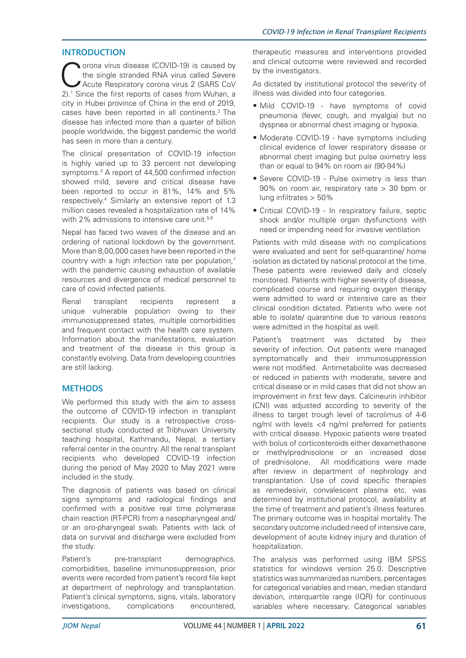## **INTRODUCTION**

Corona virus disease (COVID-19) is caused by<br>the single stranded RNA virus called Severe<br>Acute Respiratory corona virus 2 (SARS CoV<br>2) 1 Singe the first reports of agency from Wuban a the single stranded RNA virus called Severe 2).1 Since the first reports of cases from Wuhan, a city in Hubei province of China in the end of 2019, cases have been reported in all continents.<sup>2</sup> The disease has infected more than a quarter of billion people worldwide, the biggest pandemic the world has seen in more than a century.

The clinical presentation of COVID-19 infection is highly varied up to 33 percent not developing symptoms.3 A report of 44,500 confirmed infection showed mild, severe and critical disease have been reported to occur in 81%, 14% and 5% respectively.4 Similarly an extensive report of 1.3 million cases revealed a hospitalization rate of 14% with 2% admissions to intensive care unit.<sup>5,6</sup>

Nepal has faced two waves of the disease and an ordering of national lockdown by the government. More than 8,00,000 cases have been reported in the country with a high infection rate per population,<sup>7</sup> with the pandemic causing exhaustion of available resources and divergence of medical personnel to care of covid infected patients.

Renal transplant recipients represent a unique vulnerable population owing to their immunosuppressed states, multiple comorbidities and frequent contact with the health care system. Information about the manifestations, evaluation and treatment of the disease in this group is constantly evolving. Data from developing countries are still lacking.

# **METHODS**

We performed this study with the aim to assess the outcome of COVID-19 infection in transplant recipients. Our study is a retrospective crosssectional study conducted at Tribhuvan University teaching hospital, Kathmandu, Nepal, a tertiary referral center in the country. All the renal transplant recipients who developed COVID-19 infection during the period of May 2020 to May 2021 were included in the study.

The diagnosis of patients was based on clinical signs symptoms and radiological findings and confirmed with a positive real time polymerase chain reaction (RT-PCR) from a nasopharyngeal and/ or an oro-pharyngeal swab. Patients with lack of data on survival and discharge were excluded from the study.

Patient's pre-transplant demographics, comorbidities, baseline immunosuppression, prior events were recorded from patient's record file kept at department of nephrology and transplantation. Patient's clinical symptoms, signs, vitals, laboratory investigations, complications encountered,

therapeutic measures and interventions provided and clinical outcome were reviewed and recorded by the investigators.

As dictated by institutional protocol the severity of illness was divided into four categories.

- Mild COVID-19 have symptoms of covid pneumonia (fever, cough, and myalgia) but no dyspnea or abnormal chest imaging or hypoxia.
- Moderate COVID-19 have symptoms including clinical evidence of lower respiratory disease or abnormal chest imaging but pulse oximetry less than or equal to 94% on room air (90-94%)
- Severe COVID-19 Pulse oximetry is less than 90% on room air, respiratory rate > 30 bpm or lung infiltrates > 50%
- Critical COVID-19 In respiratory failure, septic shock and/or multiple organ dysfunctions with need or impending need for invasive ventilation

Patients with mild disease with no complications were evaluated and sent for self-quarantine/ home isolation as dictated by national protocol at the time. These patients were reviewed daily and closely monitored. Patients with higher severity of disease, complicated course and requiring oxygen therapy were admitted to ward or intensive care as their clinical condition dictated. Patients who were not able to isolate/ quarantine due to various reasons were admitted in the hospital as well.

Patient's treatment was dictated by their severity of infection. Out patients were managed symptomatically and their immunosuppression were not modified. Antimetabolite was decreased or reduced in patients with moderate, severe and critical disease or in mild cases that did not show an improvement in first few days. Calcineurin inhibitor (CNI) was adjusted according to severity of the illness to target trough level of tacrolimus of 4-6 ng/ml with levels <4 ng/ml preferred for patients with critical disease. Hypoxic patients were treated with bolus of corticosteroids either dexamethasone or methylprednisolone or an increased dose of prednisolone. All modifications were made after review in department of nephrology and transplantation. Use of covid specific therapies as remedesivir, convalescent plasma etc. was determined by institutional protocol, availability at the time of treatment and patient's illness features. The primary outcome was in hospital mortality. The secondary outcome included need of intensive care, development of acute kidney injury and duration of hospitalization.

The analysis was performed using IBM SPSS statistics for windows version 25.0. Descriptive statistics was summarized as numbers, percentages for categorical variables and mean, median standard deviation, interquartile range (IQR) for continuous variables where necessary. Categorical variables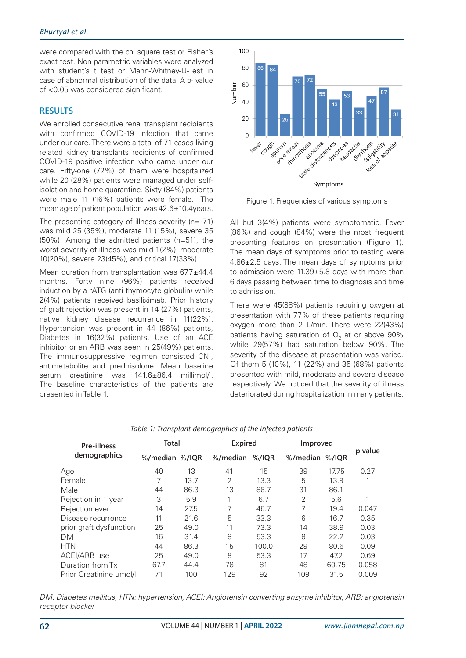were compared with the chi square test or Fisher's exact test. Non parametric variables were analyzed with student's t test or Mann-Whitney-U-Test in case of abnormal distribution of the data. A p- value of <0.05 was considered significant.

# **RESULTS**

We enrolled consecutive renal transplant recipients with confirmed COVID-19 infection that came under our care. There were a total of 71 cases living related kidney transplants recipients of confirmed COVID-19 positive infection who came under our care. Fifty-one (72%) of them were hospitalized while 20 (28%) patients were managed under selfisolation and home quarantine. Sixty (84%) patients were male 11 (16%) patients were female. The mean age of patient population was 42.6±10.4years.

The presenting category of illness severity ( $n= 71$ ) was mild 25 (35%), moderate 11 (15%), severe 35 (50%). Among the admitted patients (n=51), the worst severity of illness was mild 1(2%), moderate 10(20%), severe 23(45%), and critical 17(33%).

Mean duration from transplantation was 67.7±44.4 months. Forty nine (96%) patients received induction by a rATG (anti thymocyte globulin) while 2(4%) patients received basiliximab. Prior history of graft rejection was present in 14 (27%) patients, native kidney disease recurrence in 11(22%). Hypertension was present in 44 (86%) patients, Diabetes in 16(32%) patients. Use of an ACE inhibitor or an ARB was seen in 25(49%) patients. The immunosuppressive regimen consisted CNI, antimetabolite and prednisolone. Mean baseline serum creatinine was 141.6±86.4 millimol/l. The baseline characteristics of the patients are presented in Table 1.



Figure 1. Frequencies of various symptoms

All but 3(4%) patients were symptomatic. Fever (86%) and cough (84%) were the most frequent presenting features on presentation (Figure 1). The mean days of symptoms prior to testing were 4.86±2.5 days. The mean days of symptoms prior to admission were 11.39±5.8 days with more than 6 days passing between time to diagnosis and time to admission.

There were 45(88%) patients requiring oxygen at presentation with 77% of these patients requiring oxygen more than 2 L/min. There were 22(43%) patients having saturation of  $\overline{\mathrm{O}}_{2}$  at or above 90% while 29(57%) had saturation below 90%. The severity of the disease at presentation was varied. Of them 5 (10%), 11 (22%) and 35 (68%) patients presented with mild, moderate and severe disease respectively. We noticed that the severity of illness deteriorated during hospitalization in many patients.

| <b>Pre-illness</b>      | Total          |      | <b>Expired</b> |         | Improved       |       |         |
|-------------------------|----------------|------|----------------|---------|----------------|-------|---------|
| demographics            | %/median %/IQR |      | %/median       | % / IQR | %/median %/IOR |       | p value |
| Age                     | 40             | 13   | 41             | 15      | 39             | 17.75 | 0.27    |
| Female                  | 7              | 13.7 | 2              | 13.3    | 5              | 13.9  |         |
| Male                    | 44             | 86.3 | 13             | 86.7    | 31             | 86.1  |         |
| Rejection in 1 year     | 3              | 5.9  | 4              | 6.7     | 2              | 5.6   | 1       |
| Rejection ever          | 14             | 27.5 | 7              | 46.7    | 7              | 19.4  | 0.047   |
| Disease recurrence      | 11             | 21.6 | 5              | 33.3    | 6              | 16.7  | 0.35    |
| prior graft dysfunction | 25             | 49.0 | 11             | 73.3    | 14             | 38.9  | 0.03    |
| <b>DM</b>               | 16             | 31.4 | 8              | 53.3    | 8              | 22.2  | 0.03    |
| <b>HTN</b>              | 44             | 86.3 | 15             | 100.0   | 29             | 80.6  | 0.09    |
| ACEI/ARB use            | 25             | 49.0 | 8              | 53.3    | 17             | 47.2  | 0.69    |
| Duration from Tx        | 67.7           | 44.4 | 78             | 81      | 48             | 60.75 | 0.058   |
| Prior Creatinine umol/l | 71             | 100  | 129            | 92      | 109            | 31.5  | 0.009   |

*Table 1: Transplant demographics of the infected patients*

*DM: Diabetes mellitus, HTN: hypertension, ACEI: Angiotensin converting enzyme inhibitor, ARB: angiotensin receptor blocker*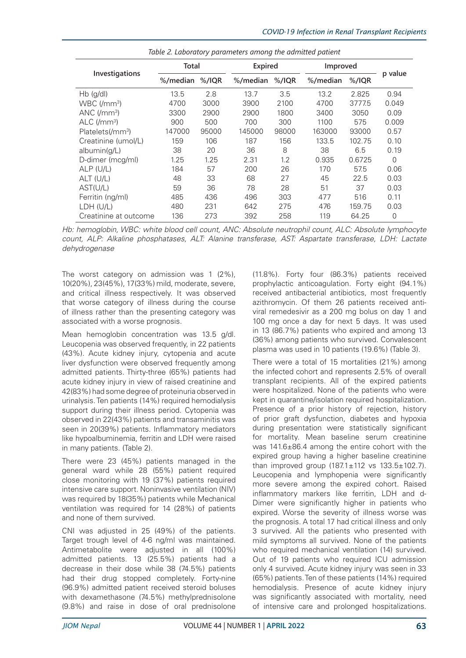| <i>rable L. Laboratory parameters among the admitted pattent</i> |          |         |                |         |          |         |                |
|------------------------------------------------------------------|----------|---------|----------------|---------|----------|---------|----------------|
| Investigations                                                   | Total    |         | <b>Expired</b> |         | Improved |         |                |
|                                                                  | %/median | % / IQR | %/median       | % / IQR | %/median | % / IQR | p value        |
| $Hb$ (g/dl)                                                      | 13.5     | 2.8     | 13.7           | 3.5     | 13.2     | 2.825   | 0.94           |
| WBC (/mm <sup>3</sup> )                                          | 4700     | 3000    | 3900           | 2100    | 4700     | 3777.5  | 0.049          |
| ANC (/mm <sup>3</sup> )                                          | 3300     | 2900    | 2900           | 1800    | 3400     | 3050    | 0.09           |
| $ALC$ (/mm <sup>3</sup> )                                        | 900      | 500     | 700            | 300     | 1100     | 575     | 0.009          |
| Platelets(/mm <sup>3</sup> )                                     | 147000   | 95000   | 145000         | 98000   | 163000   | 93000   | 0.57           |
| Creatinine (umol/L)                                              | 159      | 106     | 187            | 156     | 133.5    | 102.75  | 0.10           |
| albumin(g/L)                                                     | 38       | 20      | 36             | 8       | 38       | 6.5     | 0.19           |
| D-dimer (mcg/ml)                                                 | 1.25     | 1.25    | 2.31           | 1.2     | 0.935    | 0.6725  | $\overline{0}$ |
| $ALP$ (U/L)                                                      | 184      | 57      | 200            | 26      | 170      | 57.5    | 0.06           |
| ALT (U/L)                                                        | 48       | 33      | 68             | 27      | 45       | 22.5    | 0.03           |
| AST(U/L)                                                         | 59       | 36      | 78             | 28      | 51       | 37      | 0.03           |
| Ferritin (ng/ml)                                                 | 485      | 436     | 496            | 303     | 477      | 516     | 0.11           |
| LDH (U/L)                                                        | 480      | 231     | 642            | 275     | 476      | 159.75  | 0.03           |
| Creatinine at outcome                                            | 136      | 273     | 392            | 258     | 119      | 64.25   | 0              |

*Table 2. Laboratory parameters among the admitted patient*

*Hb: hemoglobin, WBC: white blood cell count, ANC: Absolute neutrophil count, ALC: Absolute lymphocyte count, ALP: Alkaline phosphatases, ALT: Alanine transferase, AST: Aspartate transferase, LDH: Lactate dehydrogenase*

The worst category on admission was 1 (2%), 10(20%), 23(45%), 17(33%) mild, moderate, severe, and critical illness respectively. It was observed that worse category of illness during the course of illness rather than the presenting category was associated with a worse prognosis.

Mean hemoglobin concentration was 13.5 g/dl. Leucopenia was observed frequently, in 22 patients (43%). Acute kidney injury, cytopenia and acute liver dysfunction were observed frequently among admitted patients. Thirty-three (65%) patients had acute kidney injury in view of raised creatinine and 42(83%) had some degree of proteinuria observed in urinalysis. Ten patients (14%) required hemodialysis support during their illness period. Cytopenia was observed in 22(43%) patients and transaminitis was seen in 20(39%) patients. Inflammatory mediators like hypoalbuminemia, ferritin and LDH were raised in many patients. (Table 2).

There were 23 (45%) patients managed in the general ward while 28 (55%) patient required close monitoring with 19 (37%) patients required intensive care support. Noninvasive ventilation (NIV) was required by 18(35%) patients while Mechanical ventilation was required for 14 (28%) of patients and none of them survived.

CNI was adjusted in 25 (49%) of the patients. Target trough level of 4-6 ng/ml was maintained. Antimetabolite were adjusted in all (100%) admitted patients. 13 (25.5%) patients had a decrease in their dose while 38 (74.5%) patients had their drug stopped completely. Forty-nine (96.9%) admitted patient received steroid boluses with dexamethasone (74.5%) methylprednisolone (9.8%) and raise in dose of oral prednisolone

(11.8%). Forty four (86.3%) patients received prophylactic anticoagulation. Forty eight (94.1%) received antibacterial antibiotics, most frequently azithromycin. Of them 26 patients received antiviral remedesivir as a 200 mg bolus on day 1 and 100 mg once a day for next 5 days. It was used in 13 (86.7%) patients who expired and among 13 (36%) among patients who survived. Convalescent plasma was used in 10 patients (19.6%) (Table 3).

There were a total of 15 mortalities (21%) among the infected cohort and represents 2.5% of overall transplant recipients. All of the expired patients were hospitalized. None of the patients who were kept in quarantine/isolation required hospitalization. Presence of a prior history of rejection, history of prior graft dysfunction, diabetes and hypoxia during presentation were statistically significant for mortality. Mean baseline serum creatinine was 141.6±86.4 among the entire cohort with the expired group having a higher baseline creatinine than improved group  $(187.1 \pm 112 \text{ vs } 133.5 \pm 102.7)$ . Leucopenia and lymphopenia were significantly more severe among the expired cohort. Raised inflammatory markers like ferritin, LDH and d-Dimer were significantly higher in patients who expired. Worse the severity of illness worse was the prognosis. A total 17 had critical illness and only 3 survived. All the patients who presented with mild symptoms all survived. None of the patients who required mechanical ventilation (14) survived. Out of 19 patients who required ICU admission only 4 survived. Acute kidney injury was seen in 33 (65%) patients. Ten of these patients (14%) required hemodialysis. Presence of acute kidney injury was significantly associated with mortality, need of intensive care and prolonged hospitalizations.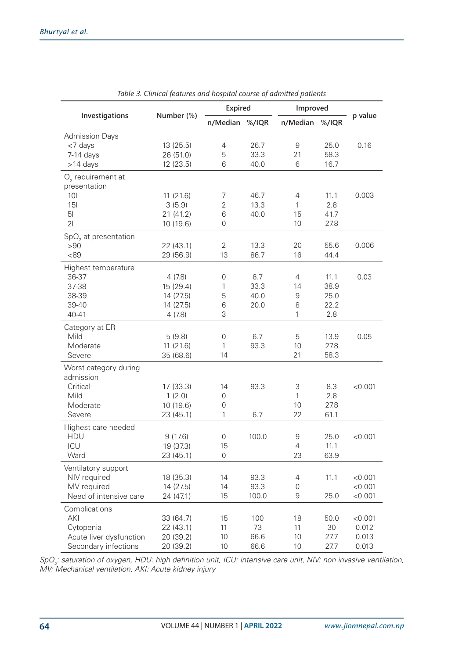|                                       |                        | <b>Expired</b>            |               | Improved            |       |         |
|---------------------------------------|------------------------|---------------------------|---------------|---------------------|-------|---------|
| Investigations                        | Number (%)             | n/Median                  | $%$ /IQR      | n/Median            | %/IQR | p value |
| <b>Admission Days</b>                 |                        |                           |               |                     |       |         |
| <7 days                               | 13 (25.5)              | $\overline{4}$            | 26.7          | $\mathsf 9$         | 25.0  | 0.16    |
| $7-14$ days                           | 26 (51.0)              | 5                         | 33.3          | 21                  | 58.3  |         |
| >14 days                              | 12 (23.5)              | 6                         | 40.0          | 6                   | 16.7  |         |
| $O2$ requirement at                   |                        |                           |               |                     |       |         |
| presentation                          |                        |                           |               |                     |       |         |
| 10 <sub>l</sub>                       | 11 (21.6)              | 7                         | 46.7          | 4                   | 11.1  | 0.003   |
| 15I                                   | 3(5.9)                 | $\overline{2}$            | 13.3          | 1                   | 2.8   |         |
| 5 <sub>l</sub>                        | 21(41.2)               | 6                         | 40.0          | 15                  | 41.7  |         |
| 21                                    | 10 (19.6)              | $\overline{0}$            |               | 10                  | 27.8  |         |
| $SpO2$ at presentation                |                        |                           |               |                     |       |         |
| >90                                   | 22 (43.1)              | $\overline{2}$            | 13.3          | 20                  | 55.6  | 0.006   |
| < 89                                  | 29 (56.9)              | 13                        | 86.7          | 16                  | 44.4  |         |
| Highest temperature                   |                        |                           |               |                     |       |         |
| 36-37                                 | 4(7.8)                 | $\mathbf 0$               | 6.7           | 4                   | 11.1  | 0.03    |
| 37-38                                 | 15 (29.4)              | 1                         | 33.3          | 14                  | 38.9  |         |
| 38-39                                 | 14 (27.5)              | 5                         | 40.0          | 9                   | 25.0  |         |
| 39-40                                 | 14 (27.5)              | 6                         | 20.0          | 8                   | 22.2  |         |
| 40-41                                 | 4(7.8)                 | 3                         |               | 1                   | 2.8   |         |
| Category at ER                        |                        |                           |               |                     |       |         |
| Mild                                  | 5(9.8)                 | $\mathsf{O}\xspace$       | 6.7           | 5                   | 13.9  | 0.05    |
| Moderate                              | 11 (21.6)              | 1                         | 93.3          | 10                  | 27.8  |         |
| Severe                                | 35 (68.6)              | 14                        |               | 21                  | 58.3  |         |
| Worst category during<br>admission    |                        |                           |               |                     |       |         |
| Critical                              | 17 (33.3)              | 14                        | 93.3          | 3                   | 8.3   | < 0.001 |
| Mild                                  | 1(2.0)                 | 0                         |               | 1                   | 2.8   |         |
| Moderate                              | 10 (19.6)              | 0                         |               | 10                  | 27.8  |         |
| Severe                                | 23 (45.1)              | 1                         | 6.7           | 22                  | 61.1  |         |
|                                       |                        |                           |               |                     |       |         |
| Highest care needed<br><b>HDU</b>     | 9(17.6)                | 0                         | 100.0         | $\Theta$            | 25.0  | < 0.001 |
| ICU                                   |                        |                           |               | $\overline{4}$      | 11.1  |         |
| Ward                                  | 19 (37.3)<br>23 (45.1) | 15<br>$\mathsf{O}\xspace$ |               | 23                  | 63.9  |         |
|                                       |                        |                           |               |                     |       |         |
| Ventilatory support                   |                        |                           |               |                     |       |         |
| NIV required                          | 18 (35.3)              | 14                        | 93.3          | $\overline{4}$      | 11.1  | < 0.001 |
| MV required<br>Need of intensive care | 14 (27.5)              | 14<br>15                  | 93.3<br>100.0 | $\mathsf{O}\xspace$ |       | < 0.001 |
|                                       | 24 (47.1)              |                           |               | 9                   | 25.0  | < 0.001 |
| Complications<br>AKI                  | 33 (64.7)              | 15                        | 100           | 18                  | 50.0  | < 0.001 |
|                                       |                        | 11                        | 73            |                     | 30    | 0.012   |
| Cytopenia<br>Acute liver dysfunction  | 22 (43.1)              | 10                        | 66.6          | 11<br>10            | 27.7  | 0.013   |
|                                       | 20 (39.2)              | 10                        | 66.6          |                     | 27.7  |         |
| Secondary infections                  | 20 (39.2)              |                           |               | 10                  |       | 0.013   |

*Table 3. Clinical features and hospital course of admitted patients*

*SpO2 : saturation of oxygen, HDU: high definition unit, ICU: intensive care unit, NIV: non invasive ventilation, MV: Mechanical ventilation, AKI: Acute kidney injury*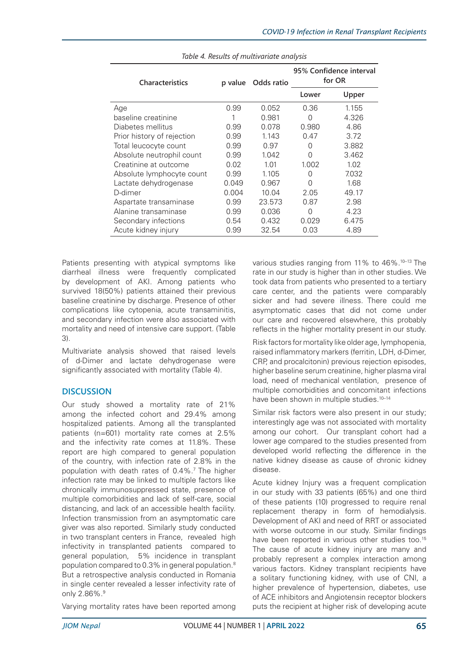| Characteristics            | p value | Odds ratio | 95% Confidence interval<br>for OR |       |  |
|----------------------------|---------|------------|-----------------------------------|-------|--|
|                            |         |            | Lower                             | Upper |  |
| Age                        | 0.99    | 0.052      | 0.36                              | 1.155 |  |
| baseline creatinine        | 1       | 0.981      | 0                                 | 4.326 |  |
| Diabetes mellitus          | 0.99    | 0.078      | 0.980                             | 4.86  |  |
| Prior history of rejection | 0.99    | 1.143      | 0.47                              | 3.72  |  |
| Total leucocyte count      | 0.99    | 0.97       | Ω                                 | 3.882 |  |
| Absolute neutrophil count  | 0.99    | 1.042      | U                                 | 3.462 |  |
| Creatinine at outcome      | 0.02    | 1.01       | 1.002                             | 1.02  |  |
| Absolute lymphocyte count  | 0.99    | 1.105      | 0                                 | 7.032 |  |
| Lactate dehydrogenase      | 0.049   | 0.967      | 0                                 | 1.68  |  |
| D-dimer                    | 0.004   | 10.04      | 2.05                              | 49.17 |  |
| Aspartate transaminase     | 0.99    | 23.573     | 0.87                              | 2.98  |  |
| Alanine transaminase       | 0.99    | 0.036      | 0                                 | 4.23  |  |
| Secondary infections       | 0.54    | 0.432      | 0.029                             | 6.475 |  |
| Acute kidney injury        | 0.99    | 32.54      | 0.03                              | 4.89  |  |

*Table 4. Results of multivariate analysis*

Patients presenting with atypical symptoms like diarrheal illness were frequently complicated by development of AKI. Among patients who survived 18(50%) patients attained their previous baseline creatinine by discharge. Presence of other complications like cytopenia, acute transaminitis, and secondary infection were also associated with mortality and need of intensive care support. (Table 3).

Multivariate analysis showed that raised levels of d-Dimer and lactate dehydrogenase were significantly associated with mortality (Table 4).

# **DISCUSSION**

Our study showed a mortality rate of 21% among the infected cohort and 29.4% among hospitalized patients. Among all the transplanted patients (n=601) mortality rate comes at 2.5% and the infectivity rate comes at 11.8%. These report are high compared to general population of the country, with infection rate of 2.8% in the population with death rates of 0.4%.7 The higher infection rate may be linked to multiple factors like chronically immunosuppressed state, presence of multiple comorbidities and lack of self-care, social distancing, and lack of an accessible health facility. Infection transmission from an asymptomatic care giver was also reported. Similarly study conducted in two transplant centers in France, revealed high infectivity in transplanted patients compared to general population, 5% incidence in transplant population compared to 0.3% in general population.8 But a retrospective analysis conducted in Romania in single center revealed a lesser infectivity rate of only 2.86%.<sup>9</sup>

Varying mortality rates have been reported among

various studies ranging from 11% to 46%.<sup>10-13</sup> The rate in our study is higher than in other studies. We took data from patients who presented to a tertiary care center, and the patients were comparably sicker and had severe illness. There could me asymptomatic cases that did not come under our care and recovered elsewhere, this probably reflects in the higher mortality present in our study.

Risk factors for mortality like older age, lymphopenia, raised inflammatory markers (ferritin, LDH, d-Dimer, CRP, and procalcitonin) previous rejection episodes, higher baseline serum creatinine, higher plasma viral load, need of mechanical ventilation, presence of multiple comorbidities and concomitant infections have been shown in multiple studies.<sup>10-14</sup>

Similar risk factors were also present in our study; interestingly age was not associated with mortality among our cohort. Our transplant cohort had a lower age compared to the studies presented from developed world reflecting the difference in the native kidney disease as cause of chronic kidney disease.

Acute kidney Injury was a frequent complication in our study with 33 patients (65%) and one third of these patients (10) progressed to require renal replacement therapy in form of hemodialysis. Development of AKI and need of RRT or associated with worse outcome in our study. Similar findings have been reported in various other studies too.<sup>15</sup> The cause of acute kidney injury are many and probably represent a complex interaction among various factors. Kidney transplant recipients have a solitary functioning kidney, with use of CNI, a higher prevalence of hypertension, diabetes, use of ACE inhibitors and Angiotensin receptor blockers puts the recipient at higher risk of developing acute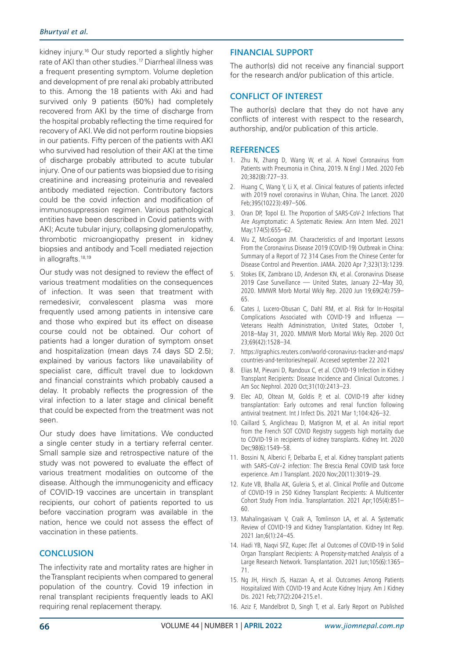kidney injury.16 Our study reported a slightly higher rate of AKI than other studies.17 Diarrheal illness was a frequent presenting symptom. Volume depletion and development of pre renal aki probably attributed to this. Among the 18 patients with Aki and had survived only 9 patients (50%) had completely recovered from AKI by the time of discharge from the hospital probably reflecting the time required for recovery of AKI. We did not perform routine biopsies in our patients. Fifty percen of the patients with AKI who survived had resolution of their AKI at the time of discharge probably attributed to acute tubular injury. One of our patients was biopsied due to rising creatinine and increasing proteinuria and revealed antibody mediated rejection. Contributory factors could be the covid infection and modification of immunosuppression regimen. Various pathological entities have been described in Covid patients with AKI; Acute tubular injury, collapsing glomerulopathy, thrombotic microangiopathy present in kidney biopsies and antibody and T-cell mediated rejection in allografts.<sup>18,19</sup>

Our study was not designed to review the effect of various treatment modalities on the consequences of infection. It was seen that treatment with remedesivir, convalescent plasma was more frequently used among patients in intensive care and those who expired but its effect on disease course could not be obtained. Our cohort of patients had a longer duration of symptom onset and hospitalization (mean days 7.4 days SD 2.5); explained by various factors like unavailability of specialist care, difficult travel due to lockdown and financial constraints which probably caused a delay. It probably reflects the progression of the viral infection to a later stage and clinical benefit that could be expected from the treatment was not seen.

Our study does have limitations. We conducted a single center study in a tertiary referral center. Small sample size and retrospective nature of the study was not powered to evaluate the effect of various treatment modalities on outcome of the disease. Although the immunogenicity and efficacy of COVID-19 vaccines are uncertain in transplant recipients, our cohort of patients reported to us before vaccination program was available in the nation, hence we could not assess the effect of vaccination in these patients.

# **CONCLUSION**

The infectivity rate and mortality rates are higher in the Transplant recipients when compared to general population of the country. Covid 19 infection in renal transplant recipients frequently leads to AKI requiring renal replacement therapy.

# **FINANCIAL SUPPORT**

The author(s) did not receive any financial support for the research and/or publication of this article.

## **CONFLICT OF INTEREST**

The author(s) declare that they do not have any conflicts of interest with respect to the research, authorship, and/or publication of this article.

## **REFERENCES**

- 1. Zhu N, Zhang D, Wang W, et al. A Novel Coronavirus from Patients with Pneumonia in China, 2019. N Engl J Med. 2020 Feb 20;382(8):727–33.
- 2. Huang C, Wang Y, Li X, et al. Clinical features of patients infected with 2019 novel coronavirus in Wuhan, China. The Lancet. 2020 Feb;395(10223):497–506.
- 3. Oran DP, Topol EJ. The Proportion of SARS-CoV-2 Infections That Are Asymptomatic: A Systematic Review. Ann Intern Med. 2021 May;174(5):655–62.
- 4. Wu Z, McGoogan JM. Characteristics of and Important Lessons From the Coronavirus Disease 2019 (COVID-19) Outbreak in China: Summary of a Report of 72 314 Cases From the Chinese Center for Disease Control and Prevention. JAMA. 2020 Apr 7;323(13):1239.
- 5. Stokes EK, Zambrano LD, Anderson KN, et al. Coronavirus Disease 2019 Case Surveillance — United States, January 22–May 30, 2020. MMWR Morb Mortal Wkly Rep. 2020 Jun 19;69(24):759– 65.
- 6. Cates J, Lucero-Obusan C, Dahl RM, et al. Risk for In-Hospital Complications Associated with COVID-19 and Influenza — Veterans Health Administration, United States, October 1, 2018–May 31, 2020. MMWR Morb Mortal Wkly Rep. 2020 Oct 23;69(42):1528–34.
- 7. https://graphics.reuters.com/world-coronavirus-tracker-and-maps/ countries-and-territories/nepal/. Accesed september 22 2021
- 8. Elias M, Pievani D, Randoux C, et al. COVID-19 Infection in Kidney Transplant Recipients: Disease Incidence and Clinical Outcomes. J Am Soc Nephrol. 2020 Oct;31(10):2413–23.
- 9. Elec AD, Oltean M, Goldis P, et al. COVID-19 after kidney transplantation: Early outcomes and renal function following antiviral treatment. Int J Infect Dis. 2021 Mar 1;104:426–32.
- 10. Caillard S, Anglicheau D, Matignon M, et al. An initial report from the French SOT COVID Registry suggests high mortality due to COVID-19 in recipients of kidney transplants. Kidney Int. 2020 Dec;98(6):1549–58.
- 11. Bossini N, Alberici F, Delbarba E, et al. Kidney transplant patients with SARS-CoV-2 infection: The Brescia Renal COVID task force experience. Am J Transplant. 2020 Nov;20(11):3019–29.
- 12. Kute VB, Bhalla AK, Guleria S, et al. Clinical Profile and Outcome of COVID-19 in 250 Kidney Transplant Recipients: A Multicenter Cohort Study From India. Transplantation. 2021 Apr;105(4):851– 60.
- 13. Mahalingasivam V, Craik A, Tomlinson LA, et al. A Systematic Review of COVID-19 and Kidney Transplantation. Kidney Int Rep. 2021 Jan;6(1):24–45.
- 14. Hadi YB, Naqvi SFZ, Kupec JTet al Outcomes of COVID-19 in Solid Organ Transplant Recipients: A Propensity-matched Analysis of a Large Research Network. Transplantation. 2021 Jun;105(6):1365– 71.
- 15. Ng JH, Hirsch JS, Hazzan A, et al. Outcomes Among Patients Hospitalized With COVID-19 and Acute Kidney Injury. Am J Kidney Dis. 2021 Feb;77(2):204-215.e1.
- 16. Aziz F, Mandelbrot D, Singh T, et al. Early Report on Published